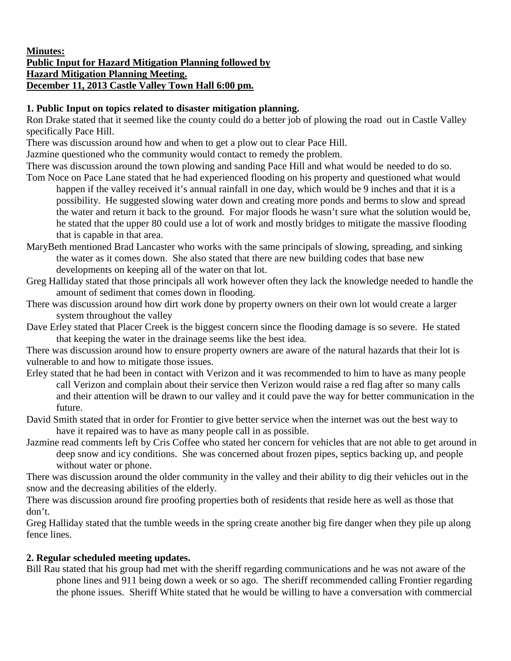## **Minutes: Public Input for Hazard Mitigation Planning followed by Hazard Mitigation Planning Meeting. December 11, 2013 Castle Valley Town Hall 6:00 pm.**

## **1. Public Input on topics related to disaster mitigation planning.**

Ron Drake stated that it seemed like the county could do a better job of plowing the road out in Castle Valley specifically Pace Hill.

There was discussion around how and when to get a plow out to clear Pace Hill.

Jazmine questioned who the community would contact to remedy the problem.

There was discussion around the town plowing and sanding Pace Hill and what would be needed to do so.

- Tom Noce on Pace Lane stated that he had experienced flooding on his property and questioned what would happen if the valley received it's annual rainfall in one day, which would be 9 inches and that it is a possibility. He suggested slowing water down and creating more ponds and berms to slow and spread the water and return it back to the ground. For major floods he wasn't sure what the solution would be, he stated that the upper 80 could use a lot of work and mostly bridges to mitigate the massive flooding that is capable in that area.
- MaryBeth mentioned Brad Lancaster who works with the same principals of slowing, spreading, and sinking the water as it comes down. She also stated that there are new building codes that base new developments on keeping all of the water on that lot.
- Greg Halliday stated that those principals all work however often they lack the knowledge needed to handle the amount of sediment that comes down in flooding.
- There was discussion around how dirt work done by property owners on their own lot would create a larger system throughout the valley
- Dave Erley stated that Placer Creek is the biggest concern since the flooding damage is so severe. He stated that keeping the water in the drainage seems like the best idea.

There was discussion around how to ensure property owners are aware of the natural hazards that their lot is vulnerable to and how to mitigate those issues.

- Erley stated that he had been in contact with Verizon and it was recommended to him to have as many people call Verizon and complain about their service then Verizon would raise a red flag after so many calls and their attention will be drawn to our valley and it could pave the way for better communication in the future.
- David Smith stated that in order for Frontier to give better service when the internet was out the best way to have it repaired was to have as many people call in as possible.
- Jazmine read comments left by Cris Coffee who stated her concern for vehicles that are not able to get around in deep snow and icy conditions. She was concerned about frozen pipes, septics backing up, and people without water or phone.

There was discussion around the older community in the valley and their ability to dig their vehicles out in the snow and the decreasing abilities of the elderly.

There was discussion around fire proofing properties both of residents that reside here as well as those that don't.

Greg Halliday stated that the tumble weeds in the spring create another big fire danger when they pile up along fence lines.

## **2. Regular scheduled meeting updates.**

Bill Rau stated that his group had met with the sheriff regarding communications and he was not aware of the phone lines and 911 being down a week or so ago. The sheriff recommended calling Frontier regarding the phone issues. Sheriff White stated that he would be willing to have a conversation with commercial